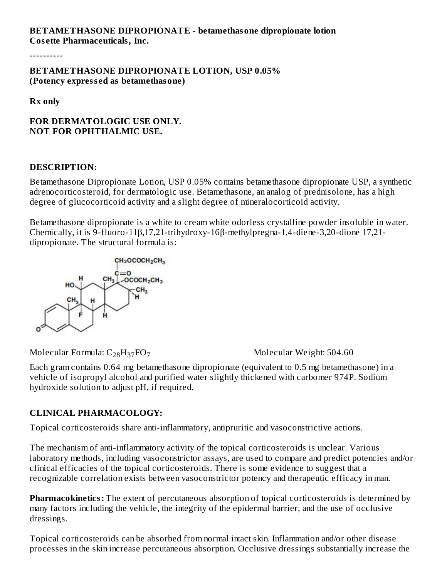**BETAMETHASONE DIPROPIONATE - betamethasone dipropionate lotion Cos ette Pharmaceuticals, Inc.**

----------

**BETAMETHASONE DIPROPIONATE LOTION, USP 0.05% (Potency express ed as betamethasone)**

**Rx only**

#### **FOR DERMATOLOGIC USE ONLY. NOT FOR OPHTHALMIC USE.**

#### **DESCRIPTION:**

Betamethasone Dipropionate Lotion, USP 0.05% contains betamethasone dipropionate USP, a synthetic adrenocorticosteroid, for dermatologic use. Betamethasone, an analog of prednisolone, has a high degree of glucocorticoid activity and a slight degree of mineralocorticoid activity.

Betamethasone dipropionate is a white to cream white odorless crystalline powder insoluble in water. Chemically, it is 9-fluoro-11β,17,21-trihydroxy-16β-methylpregna-1,4-diene-3,20-dione 17,21 dipropionate. The structural formula is:



Molecular Formula:  $C_{28}H_{37}FO_{7}$  Molecular Weight: 504.60

Each gram contains 0.64 mg betamethasone dipropionate (equivalent to 0.5 mg betamethasone) in a vehicle of isopropyl alcohol and purified water slightly thickened with carbomer 974P. Sodium hydroxide solution to adjust pH, if required.

## **CLINICAL PHARMACOLOGY:**

Topical corticosteroids share anti-inflammatory, antipruritic and vasoconstrictive actions.

The mechanism of anti-inflammatory activity of the topical corticosteroids is unclear. Various laboratory methods, including vasoconstrictor assays, are used to compare and predict potencies and/or clinical efficacies of the topical corticosteroids. There is some evidence to suggest that a recognizable correlation exists between vasoconstrictor potency and therapeutic efficacy in man.

**Pharmacokinetics:** The extent of percutaneous absorption of topical corticosteroids is determined by many factors including the vehicle, the integrity of the epidermal barrier, and the use of occlusive dressings.

Topical corticosteroids can be absorbed from normal intact skin. Inflammation and/or other disease processes in the skin increase percutaneous absorption. Occlusive dressings substantially increase the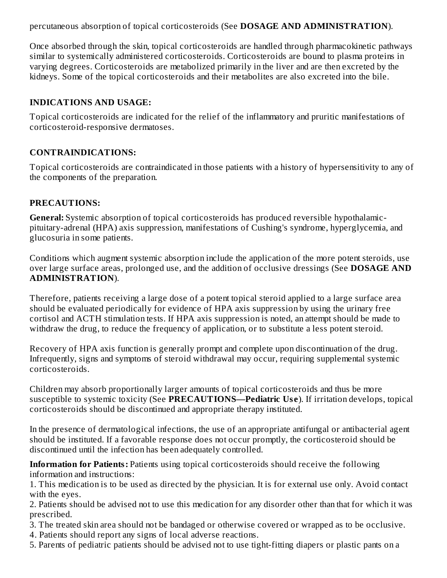percutaneous absorption of topical corticosteroids (See **DOSAGE AND ADMINISTRATION**).

Once absorbed through the skin, topical corticosteroids are handled through pharmacokinetic pathways similar to systemically administered corticosteroids. Corticosteroids are bound to plasma proteins in varying degrees. Corticosteroids are metabolized primarily in the liver and are then excreted by the kidneys. Some of the topical corticosteroids and their metabolites are also excreted into the bile.

## **INDICATIONS AND USAGE:**

Topical corticosteroids are indicated for the relief of the inflammatory and pruritic manifestations of corticosteroid-responsive dermatoses.

## **CONTRAINDICATIONS:**

Topical corticosteroids are contraindicated in those patients with a history of hypersensitivity to any of the components of the preparation.

## **PRECAUTIONS:**

**General:** Systemic absorption of topical corticosteroids has produced reversible hypothalamicpituitary-adrenal (HPA) axis suppression, manifestations of Cushing's syndrome, hyperglycemia, and glucosuria in some patients.

Conditions which augment systemic absorption include the application of the more potent steroids, use over large surface areas, prolonged use, and the addition of occlusive dressings (See **DOSAGE AND ADMINISTRATION**).

Therefore, patients receiving a large dose of a potent topical steroid applied to a large surface area should be evaluated periodically for evidence of HPA axis suppression by using the urinary free cortisol and ACTH stimulation tests. If HPA axis suppression is noted, an attempt should be made to withdraw the drug, to reduce the frequency of application, or to substitute a less potent steroid.

Recovery of HPA axis function is generally prompt and complete upon discontinuation of the drug. Infrequently, signs and symptoms of steroid withdrawal may occur, requiring supplemental systemic corticosteroids.

Children may absorb proportionally larger amounts of topical corticosteroids and thus be more susceptible to systemic toxicity (See **PRECAUTIONS—Pediatric Us e**). If irritation develops, topical corticosteroids should be discontinued and appropriate therapy instituted.

In the presence of dermatological infections, the use of an appropriate antifungal or antibacterial agent should be instituted. If a favorable response does not occur promptly, the corticosteroid should be discontinued until the infection has been adequately controlled.

**Information for Patients:** Patients using topical corticosteroids should receive the following information and instructions:

1. This medication is to be used as directed by the physician. It is for external use only. Avoid contact with the eyes.

2. Patients should be advised not to use this medication for any disorder other than that for which it was prescribed.

3. The treated skin area should not be bandaged or otherwise covered or wrapped as to be occlusive.

4. Patients should report any signs of local adverse reactions.

5. Parents of pediatric patients should be advised not to use tight-fitting diapers or plastic pants on a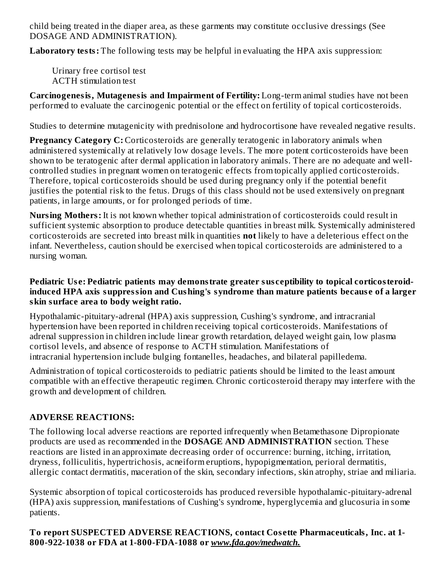child being treated in the diaper area, as these garments may constitute occlusive dressings (See DOSAGE AND ADMINISTRATION).

**Laboratory tests:** The following tests may be helpful in evaluating the HPA axis suppression:

Urinary free cortisol test ACTH stimulation test

**Carcinogenesis, Mutagenesis and Impairment of Fertility:** Long-term animal studies have not been performed to evaluate the carcinogenic potential or the effect on fertility of topical corticosteroids.

Studies to determine mutagenicity with prednisolone and hydrocortisone have revealed negative results.

**Pregnancy Category C:** Corticosteroids are generally teratogenic in laboratory animals when administered systemically at relatively low dosage levels. The more potent corticosteroids have been shown to be teratogenic after dermal application in laboratory animals. There are no adequate and wellcontrolled studies in pregnant women on teratogenic effects from topically applied corticosteroids. Therefore, topical corticosteroids should be used during pregnancy only if the potential benefit justifies the potential risk to the fetus. Drugs of this class should not be used extensively on pregnant patients, in large amounts, or for prolonged periods of time.

**Nursing Mothers:** It is not known whether topical administration of corticosteroids could result in sufficient systemic absorption to produce detectable quantities in breast milk. Systemically administered corticosteroids are secreted into breast milk in quantities **not** likely to have a deleterious effect on the infant. Nevertheless, caution should be exercised when topical corticosteroids are administered to a nursing woman.

## **Pediatric Us e: Pediatric patients may demonstrate greater sus ceptibility to topical corticosteroidinduced HPA axis suppression and Cushing's syndrome than mature patients becaus e of a larger skin surface area to body weight ratio.**

Hypothalamic-pituitary-adrenal (HPA) axis suppression, Cushing's syndrome, and intracranial hypertension have been reported in children receiving topical corticosteroids. Manifestations of adrenal suppression in children include linear growth retardation, delayed weight gain, low plasma cortisol levels, and absence of response to ACTH stimulation. Manifestations of intracranial hypertension include bulging fontanelles, headaches, and bilateral papilledema.

Administration of topical corticosteroids to pediatric patients should be limited to the least amount compatible with an effective therapeutic regimen. Chronic corticosteroid therapy may interfere with the growth and development of children.

# **ADVERSE REACTIONS:**

The following local adverse reactions are reported infrequently when Betamethasone Dipropionate products are used as recommended in the **DOSAGE AND ADMINISTRATION** section. These reactions are listed in an approximate decreasing order of occurrence: burning, itching, irritation, dryness, folliculitis, hypertrichosis, acneiform eruptions, hypopigmentation, perioral dermatitis, allergic contact dermatitis, maceration of the skin, secondary infections, skin atrophy, striae and miliaria.

Systemic absorption of topical corticosteroids has produced reversible hypothalamic-pituitary-adrenal (HPA) axis suppression, manifestations of Cushing's syndrome, hyperglycemia and glucosuria in some patients.

## **To report SUSPECTED ADVERSE REACTIONS, contact Cos ette Pharmaceuticals, Inc. at 1- 800-922-1038 or FDA at 1-800-FDA-1088 or** *www.fda.gov/medwatch.*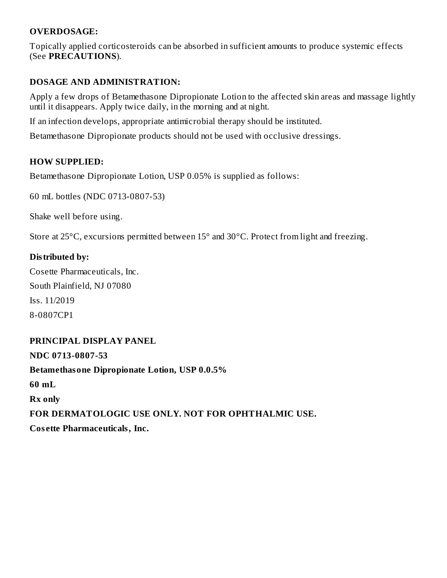## **OVERDOSAGE:**

Topically applied corticosteroids can be absorbed in sufficient amounts to produce systemic effects (See **PRECAUTIONS**).

## **DOSAGE AND ADMINISTRATION:**

Apply a few drops of Betamethasone Dipropionate Lotion to the affected skin areas and massage lightly until it disappears. Apply twice daily, in the morning and at night.

If an infection develops, appropriate antimicrobial therapy should be instituted.

Betamethasone Dipropionate products should not be used with occlusive dressings.

#### **HOW SUPPLIED:**

Betamethasone Dipropionate Lotion, USP 0.05% is supplied as follows:

60 mL bottles (NDC 0713-0807-53)

Shake well before using.

Store at 25°C, excursions permitted between 15° and 30°C. Protect from light and freezing.

#### **Distributed by:**

Cosette Pharmaceuticals, Inc. South Plainfield, NJ 07080 Iss. 11/2019 8-0807CP1

# **PRINCIPAL DISPLAY PANEL NDC 0713-0807-53 Betamethasone Dipropionate Lotion, USP 0.0.5% 60 mL Rx only FOR DERMATOLOGIC USE ONLY. NOT FOR OPHTHALMIC USE. Cos ette Pharmaceuticals, Inc.**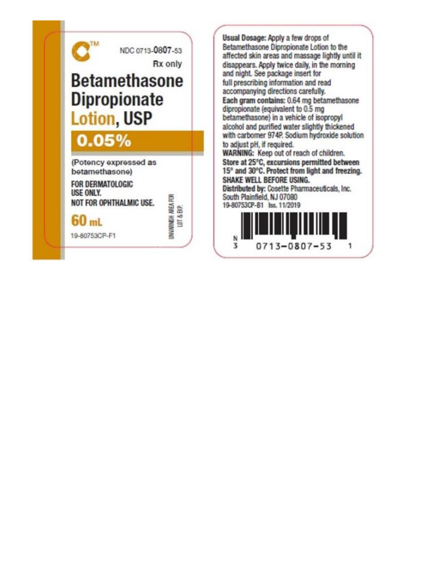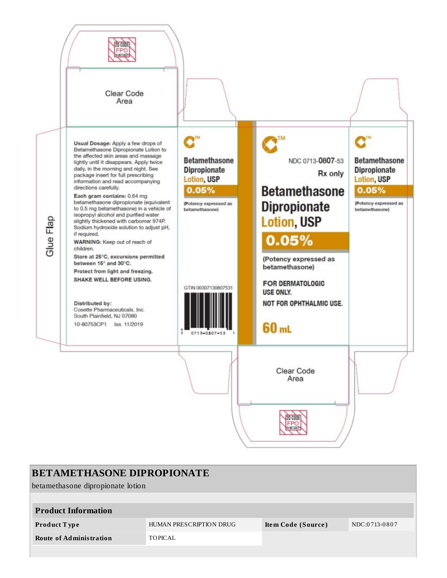

| <b>BETAMETHASONE DIPROPIONATE</b><br>betamethasone dipropionate lotion |                         |                    |               |  |  |  |  |
|------------------------------------------------------------------------|-------------------------|--------------------|---------------|--|--|--|--|
| <b>Product Information</b>                                             |                         |                    |               |  |  |  |  |
| Product Type                                                           | HUMAN PRESCRIPTION DRUG | Item Code (Source) | NDC:0713-0807 |  |  |  |  |
| <b>Route of Administration</b>                                         | TOPICAL                 |                    |               |  |  |  |  |
|                                                                        |                         |                    |               |  |  |  |  |